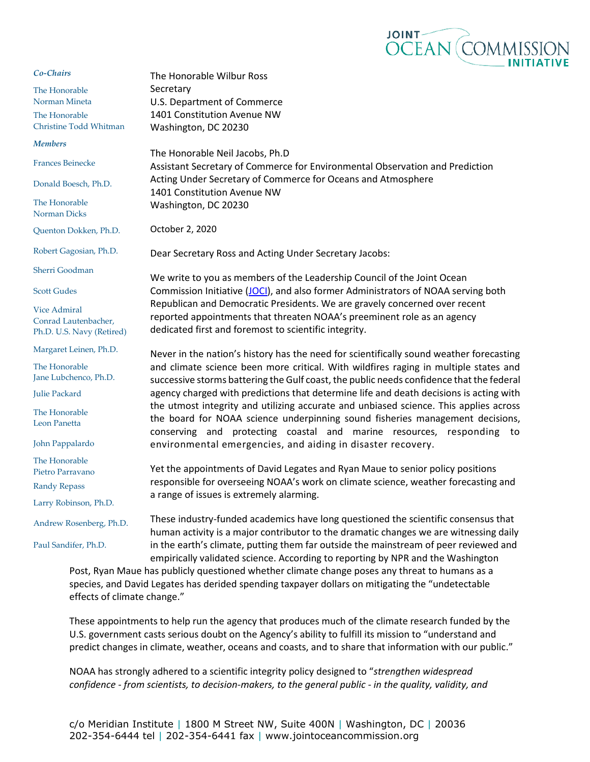

## *Co-Chairs*

The Honorable Norman Mineta The Honorable Christine Todd Whitman

*Members* 

Frances Beinecke

Donald Boesch, Ph.D.

The Honorable Norman Dicks

Quenton Dokken, Ph.D.

Robert Gagosian, Ph.D.

Sherri Goodman

Scott Gudes

Vice Admiral Conrad Lautenbacher, Ph.D. U.S. Navy (Retired)

Margaret Leinen, Ph.D.

The Honorable Jane Lubchenco, Ph.D.

Julie Packard

The Honorable Leon Panetta

John Pappalardo

The Honorable Pietro Parravano Randy Repass

Larry Robinson, Ph.D.

Andrew Rosenberg, Ph.D.

Paul Sandifer, Ph.D.

U.S. Department of Commerce 1401 Constitution Avenue NW Washington, DC 20230 The Honorable Neil Jacobs, Ph.D Assistant Secretary of Commerce for Environmental Observation and Prediction Acting Under Secretary of Commerce for Oceans and Atmosphere 1401 Constitution Avenue NW Washington, DC 20230

October 2, 2020

**Secretary** 

The Honorable Wilbur Ross

Dear Secretary Ross and Acting Under Secretary Jacobs:

We write to you as members of the Leadership Council of the Joint Ocean Commission Initiative [\(JOCI\)](https://jointoceancommission.org/), and also former Administrators of NOAA serving both Republican and Democratic Presidents. We are gravely concerned over recent reported appointments that threaten NOAA's preeminent role as an agency dedicated first and foremost to scientific integrity.

Never in the nation's history has the need for scientifically sound weather forecasting and climate science been more critical. With wildfires raging in multiple states and successive storms battering the Gulf coast, the public needs confidence that the federal agency charged with predictions that determine life and death decisions is acting with the utmost integrity and utilizing accurate and unbiased science. This applies across the board for NOAA science underpinning sound fisheries management decisions, conserving and protecting coastal and marine resources, responding to environmental emergencies, and aiding in disaster recovery.

Yet the appointments of David Legates and Ryan Maue to senior policy positions responsible for overseeing NOAA's work on climate science, weather forecasting and a range of issues is extremely alarming.

These industry-funded academics have long questioned the scientific consensus that human activity is a major contributor to the dramatic changes we are witnessing daily in the earth's climate, putting them far outside the mainstream of peer reviewed and empirically validated science. According to reporting by NPR and the Washington

Post, Ryan Maue has publicly questioned whether climate change poses any threat to humans as a species, and David Legates has derided spending taxpayer dollars on mitigating the "undetectable effects of climate change."

These appointments to help run the agency that produces much of the climate research funded by the U.S. government casts serious doubt on the Agency's ability to fulfill its mission to "understand and predict changes in climate, weather, oceans and coasts, and to share that information with our public."

NOAA has strongly adhered to a scientific integrity policy designed to "*strengthen widespread confidence - from scientists, to decision-makers, to the general public - in the quality, validity, and*